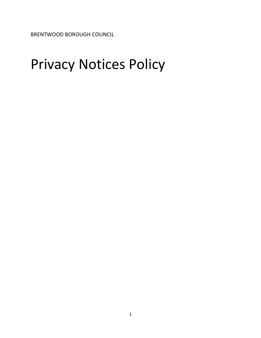BRENTWOOD BOROUGH COUNCIL

# Privacy Notices Policy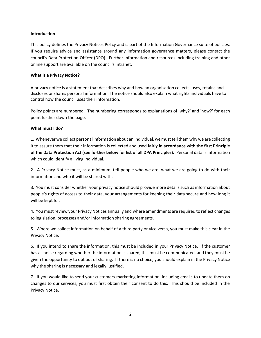# **Introduction**

This policy defines the Privacy Notices Policy and is part of the Information Governance suite of policies. If you require advice and assistance around any information governance matters, please contact the council's Data Protection Officer (DPO). Further information and resources including training and other online support are available on the council's intranet.

## **What is a Privacy Notice?**

A privacy notice is a statement that describes why and how an organisation collects, uses, retains and discloses or shares personal information. The notice should also explain what rights individuals have to control how the council uses their information.

Policy points are numbered. The numbering corresponds to explanations of 'why?' and 'how?' for each point further down the page.

### **What must I do?**

1. Whenever we collect personal information about an individual, we must tell them why we are collecting it to assure them that their information is collected and used **fairly in accordance with the first Principle of the Data Protection Act (see further below for list of all DPA Principles).** Personal data is information which could identify a living individual.

2. A Privacy Notice must, as a minimum, tell people who we are, what we are going to do with their information and who it will be shared with.

3. You must consider whether your privacy notice should provide more details such as information about people's rights of access to their data, your arrangements for keeping their data secure and how long it will be kept for.

4. You must review your Privacy Notices annually and where amendments are required to reflect changes to legislation, processes and/or information sharing agreements.

5. Where we collect information on behalf of a third party or vice versa, you must make this clear in the Privacy Notice.

6. If you intend to share the information, this must be included in your Privacy Notice. If the customer has a choice regarding whether the information is shared, this must be communicated, and they must be given the opportunity to opt out of sharing. If there is no choice, you should explain in the Privacy Notice why the sharing is necessary and legally justified.

7. If you would like to send your customers marketing information, including emails to update them on changes to our services, you must first obtain their consent to do this. This should be included in the Privacy Notice.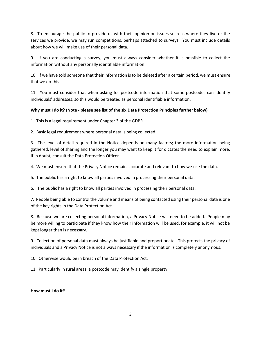8. To encourage the public to provide us with their opinion on issues such as where they live or the services we provide, we may run competitions, perhaps attached to surveys. You must include details about how we will make use of their personal data.

9. If you are conducting a survey, you must always consider whether it is possible to collect the information without any personally identifiable information.

10. If we have told someone that their information is to be deleted after a certain period, we must ensure that we do this.

11. You must consider that when asking for postcode information that some postcodes can identify individuals' addresses, so this would be treated as personal identifiable information.

# **Why must I do it? (Note - please see list of the six Data Protection Principles further below)**

1. This is a legal requirement under Chapter 3 of the GDPR

2. Basic legal requirement where personal data is being collected.

3. The level of detail required in the Notice depends on many factors; the more information being gathered, level of sharing and the longer you may want to keep it for dictates the need to explain more. If in doubt, consult the Data Protection Officer.

4. We must ensure that the Privacy Notice remains accurate and relevant to how we use the data.

5. The public has a right to know all parties involved in processing their personal data.

6. The public has a right to know all parties involved in processing their personal data.

7. People being able to control the volume and means of being contacted using their personal data is one of the key rights in the Data Protection Act.

8. Because we are collecting personal information, a Privacy Notice will need to be added. People may be more willing to participate if they know how their information will be used, for example, it will not be kept longer than is necessary.

9. Collection of personal data must always be justifiable and proportionate. This protects the privacy of individuals and a Privacy Notice is not always necessary if the information is completely anonymous.

10. Otherwise would be in breach of the Data Protection Act.

11. Particularly in rural areas, a postcode may identify a single property.

# **How must I do it?**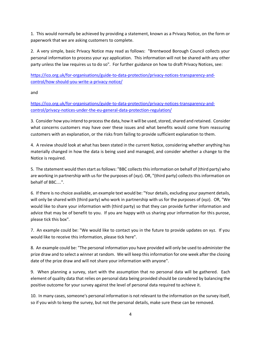1. This would normally be achieved by providing a statement, known as a Privacy Notice, on the form or paperwork that we are asking customers to complete.

2. A very simple, basic Privacy Notice may read as follows: "Brentwood Borough Council collects your personal information to process your xyz application. This information will not be shared with any other party unless the law requires us to do so". For further guidance on how to draft Privacy Notices, see:

[https://ico.org.uk/for-organisations/guide-to-data-protection/privacy-notices-transparency-and](https://ico.org.uk/for-organisations/guide-to-data-protection/privacy-notices-transparency-and-control/how-should-you-write-a-privacy-notice/)[control/how-should-you-write-a-privacy-notice/](https://ico.org.uk/for-organisations/guide-to-data-protection/privacy-notices-transparency-and-control/how-should-you-write-a-privacy-notice/)

and

[https://ico.org.uk/for-organisations/guide-to-data-protection/privacy-notices-transparency-and](https://ico.org.uk/for-organisations/guide-to-data-protection/privacy-notices-transparency-and-control/privacy-notices-under-the-eu-general-data-protection-regulation/)[control/privacy-notices-under-the-eu-general-data-protection-regulation/](https://ico.org.uk/for-organisations/guide-to-data-protection/privacy-notices-transparency-and-control/privacy-notices-under-the-eu-general-data-protection-regulation/)

3. Consider how you intend to process the data, how it will be used, stored, shared and retained. Consider what concerns customers may have over these issues and what benefits would come from reassuring customers with an explanation, or the risks from failing to provide sufficient explanation to them.

4. A review should look at what has been stated in the current Notice, considering whether anything has materially changed in how the data is being used and managed, and consider whether a change to the Notice is required.

5. The statement would then start as follows: "BBC collects this information on behalf of (third party) who are working in partnership with us for the purposes of (xyz). OR, "(third party) collects this information on behalf of BBC....".

6. If there is no choice available, an example text would be: "Your details, excluding your payment details, will only be shared with (third party) who work in partnership with us for the purposes of (xyz). OR, "We would like to share your information with (third party) so that they can provide further information and advice that may be of benefit to you. If you are happy with us sharing your information for this purose, please tick this box".

7. An example could be: "We would like to contact you in the future to provide updates on xyz. If you would like to receive this information, please tick here".

8. An example could be: "The personal information you have provided will only be used to administer the prize draw and to select a winner at random. We will keep this information for one week after the closing date of the prize draw and will not share your information with anyone".

9. When planning a survey, start with the assumption that no personal data will be gathered. Each element of quality data that relies on personal data being provided should be consdered by balancing the positive outcome for your survey against the level of personal data required to achieve it.

10. In many cases, someone's personal information is not relevant to the information on the survey itself, so if you wish to keep the survey, but not the personal details, make sure these can be removed.